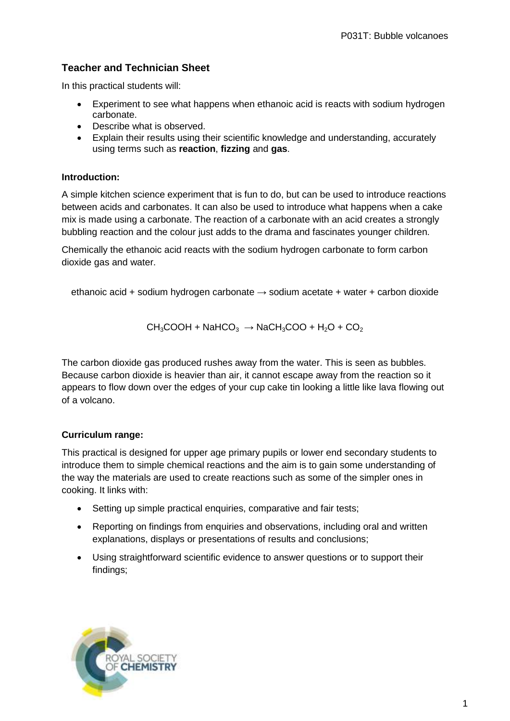# **Teacher and Technician Sheet**

In this practical students will:

- Experiment to see what happens when ethanoic acid is reacts with sodium hydrogen carbonate.
- Describe what is observed.
- Explain their results using their scientific knowledge and understanding, accurately using terms such as **reaction**, **fizzing** and **gas**.

# **Introduction:**

A simple kitchen science experiment that is fun to do, but can be used to introduce reactions between acids and carbonates. It can also be used to introduce what happens when a cake mix is made using a carbonate. The reaction of a carbonate with an acid creates a strongly bubbling reaction and the colour just adds to the drama and fascinates younger children.

Chemically the ethanoic acid reacts with the sodium hydrogen carbonate to form carbon dioxide gas and water.

ethanoic acid + sodium hydrogen carbonate  $\rightarrow$  sodium acetate + water + carbon dioxide

$$
CH_3COOH + NaHCO_3 \rightarrow NaCH_3COO + H_2O + CO_2
$$

The carbon dioxide gas produced rushes away from the water. This is seen as bubbles. Because carbon dioxide is heavier than air, it cannot escape away from the reaction so it appears to flow down over the edges of your cup cake tin looking a little like lava flowing out of a volcano.

# **Curriculum range:**

This practical is designed for upper age primary pupils or lower end secondary students to introduce them to simple chemical reactions and the aim is to gain some understanding of the way the materials are used to create reactions such as some of the simpler ones in cooking. It links with:

- Setting up simple practical enquiries, comparative and fair tests;
- Reporting on findings from enquiries and observations, including oral and written explanations, displays or presentations of results and conclusions;
- Using straightforward scientific evidence to answer questions or to support their findings;

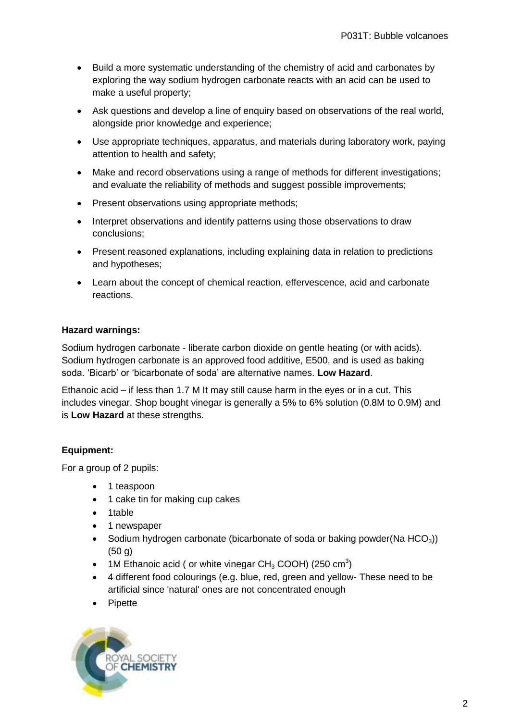- Build a more systematic understanding of the chemistry of acid and carbonates by exploring the way sodium hydrogen carbonate reacts with an acid can be used to make a useful property;
- Ask questions and develop a line of enquiry based on observations of the real world, alongside prior knowledge and experience;
- Use appropriate techniques, apparatus, and materials during laboratory work, paying attention to health and safety;
- Make and record observations using a range of methods for different investigations; and evaluate the reliability of methods and suggest possible improvements;
- Present observations using appropriate methods:
- Interpret observations and identify patterns using those observations to draw conclusions;
- Present reasoned explanations, including explaining data in relation to predictions and hypotheses;
- Learn about the concept of chemical reaction, effervescence, acid and carbonate reactions.

### **Hazard warnings:**

Sodium hydrogen carbonate - liberate carbon dioxide on gentle heating (or with acids). Sodium hydrogen carbonate is an approved food additive, E500, and is used as baking soda. 'Bicarb' or 'bicarbonate of soda' are alternative names. **Low Hazard**.

Ethanoic acid – if less than 1.7 M It may still cause harm in the eyes or in a cut. This includes vinegar. Shop bought vinegar is generally a 5% to 6% solution (0.8M to 0.9M) and is **Low Hazard** at these strengths.

#### **Equipment:**

For a group of 2 pupils:

- 1 teaspoon
- 1 cake tin for making cup cakes
- 1table
- 1 newspaper
- Sodium hydrogen carbonate (bicarbonate of soda or baking powder(Na  $HCO<sub>3</sub>$ )) (50 g)
- 1M Ethanoic acid ( or white vinegar CH<sub>3</sub> COOH) (250 cm<sup>3</sup>)
- 4 different food colourings (e.g. blue, red, green and yellow- These need to be artificial since 'natural' ones are not concentrated enough
- Pipette

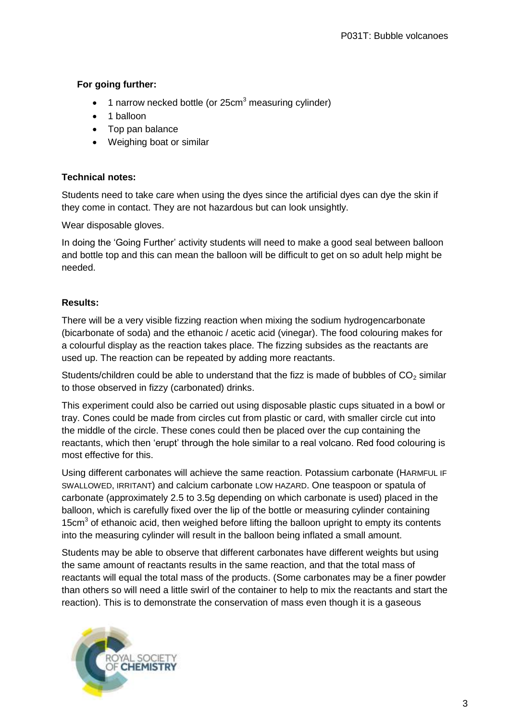# **For going further:**

- 1 narrow necked bottle (or 25cm<sup>3</sup> measuring cylinder)
- 1 balloon
- Top pan balance
- Weighing boat or similar

### **Technical notes:**

Students need to take care when using the dyes since the artificial dyes can dye the skin if they come in contact. They are not hazardous but can look unsightly.

Wear disposable gloves.

In doing the 'Going Further' activity students will need to make a good seal between balloon and bottle top and this can mean the balloon will be difficult to get on so adult help might be needed.

# **Results:**

There will be a very visible fizzing reaction when mixing the sodium hydrogencarbonate (bicarbonate of soda) and the ethanoic / acetic acid (vinegar). The food colouring makes for a colourful display as the reaction takes place. The fizzing subsides as the reactants are used up. The reaction can be repeated by adding more reactants.

Students/children could be able to understand that the fizz is made of bubbles of  $CO<sub>2</sub>$  similar to those observed in fizzy (carbonated) drinks.

This experiment could also be carried out using disposable plastic cups situated in a bowl or tray. Cones could be made from circles cut from plastic or card, with smaller circle cut into the middle of the circle. These cones could then be placed over the cup containing the reactants, which then 'erupt' through the hole similar to a real volcano. Red food colouring is most effective for this.

Using different carbonates will achieve the same reaction. Potassium carbonate (HARMFUL IF SWALLOWED, IRRITANT) and calcium carbonate LOW HAZARD. One teaspoon or spatula of carbonate (approximately 2.5 to 3.5g depending on which carbonate is used) placed in the balloon, which is carefully fixed over the lip of the bottle or measuring cylinder containing 15cm<sup>3</sup> of ethanoic acid, then weighed before lifting the balloon upright to empty its contents into the measuring cylinder will result in the balloon being inflated a small amount.

Students may be able to observe that different carbonates have different weights but using the same amount of reactants results in the same reaction, and that the total mass of reactants will equal the total mass of the products. (Some carbonates may be a finer powder than others so will need a little swirl of the container to help to mix the reactants and start the reaction). This is to demonstrate the conservation of mass even though it is a gaseous